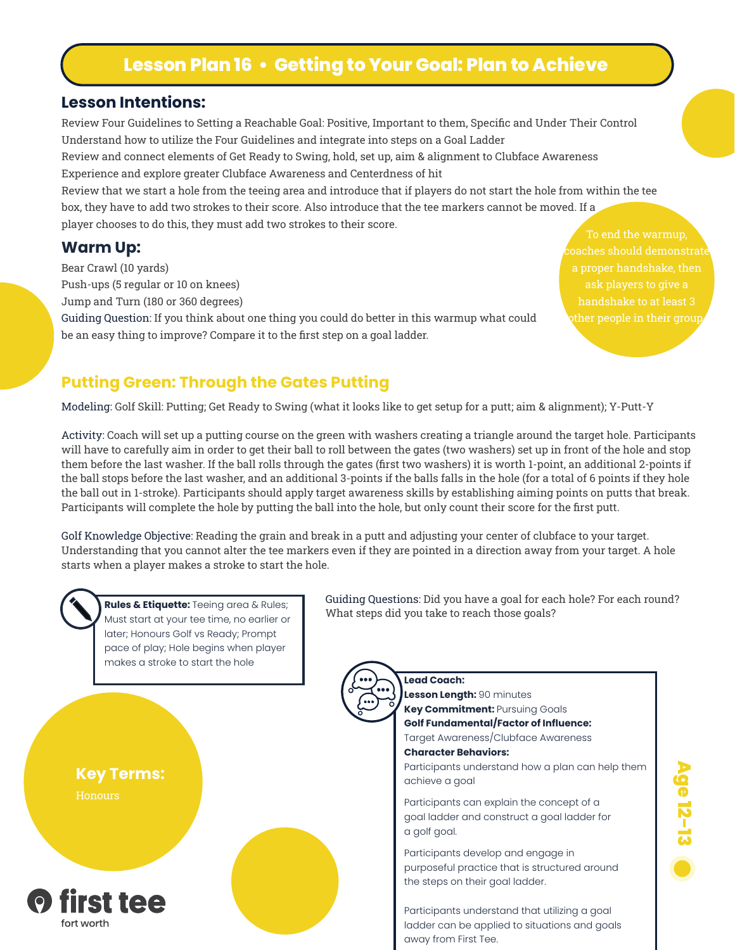# **Lesson Plan 16 • Getting to Your Goal: Plan to Achieve**

#### **Lesson Intentions:**

Review Four Guidelines to Setting a Reachable Goal: Positive, Important to them, Specific and Under Their Control Understand how to utilize the Four Guidelines and integrate into steps on a Goal Ladder

Review and connect elements of Get Ready to Swing, hold, set up, aim & alignment to Clubface Awareness Experience and explore greater Clubface Awareness and Centerdness of hit

Review that we start a hole from the teeing area and introduce that if players do not start the hole from within the tee box, they have to add two strokes to their score. Also introduce that the tee markers cannot be moved. If a player chooses to do this, they must add two strokes to their score.

#### **Warm Up:**

Bear Crawl (10 yards)

Push-ups (5 regular or 10 on knees)

Jump and Turn (180 or 360 degrees)

Guiding Question: If you think about one thing you could do better in this warmup what could be an easy thing to improve? Compare it to the first step on a goal ladder.

To end the warmup, ask players to give a

#### **Putting Green: Through the Gates Putting**

Modeling: Golf Skill: Putting; Get Ready to Swing (what it looks like to get setup for a putt; aim & alignment); Y-Putt-Y

Activity: Coach will set up a putting course on the green with washers creating a triangle around the target hole. Participants will have to carefully aim in order to get their ball to roll between the gates (two washers) set up in front of the hole and stop them before the last washer. If the ball rolls through the gates (first two washers) it is worth 1-point, an additional 2-points if the ball stops before the last washer, and an additional 3-points if the balls falls in the hole (for a total of 6 points if they hole the ball out in 1-stroke). Participants should apply target awareness skills by establishing aiming points on putts that break. Participants will complete the hole by putting the ball into the hole, but only count their score for the first putt.

Golf Knowledge Objective: Reading the grain and break in a putt and adjusting your center of clubface to your target. Understanding that you cannot alter the tee markers even if they are pointed in a direction away from your target. A hole starts when a player makes a stroke to start the hole.



Must start at your tee time, no earlier or later; Honours Golf vs Ready; Prompt pace of play; Hole begins when player makes a stroke to start the hole





Guiding Questions: Did you have a goal for each hole? For each round? Rules & Etiquette: Teeing area & Rules;<br>Must steps did you take to reach those goals?

**Lead Coach:** 

**Lesson Length:** 90 minutes **Key Commitment:** Pursuing Goals **Golf Fundamental/Factor of Influence:** Target Awareness/Clubface Awareness **Character Behaviors:** Participants understand how a plan can help them achieve a goal

Participants can explain the concept of a goal ladder and construct a goal ladder for a golf goal.

Participants develop and engage in purposeful practice that is structured around the steps on their goal ladder.

Participants understand that utilizing a goal ladder can be applied to situations and goals away from First Tee.